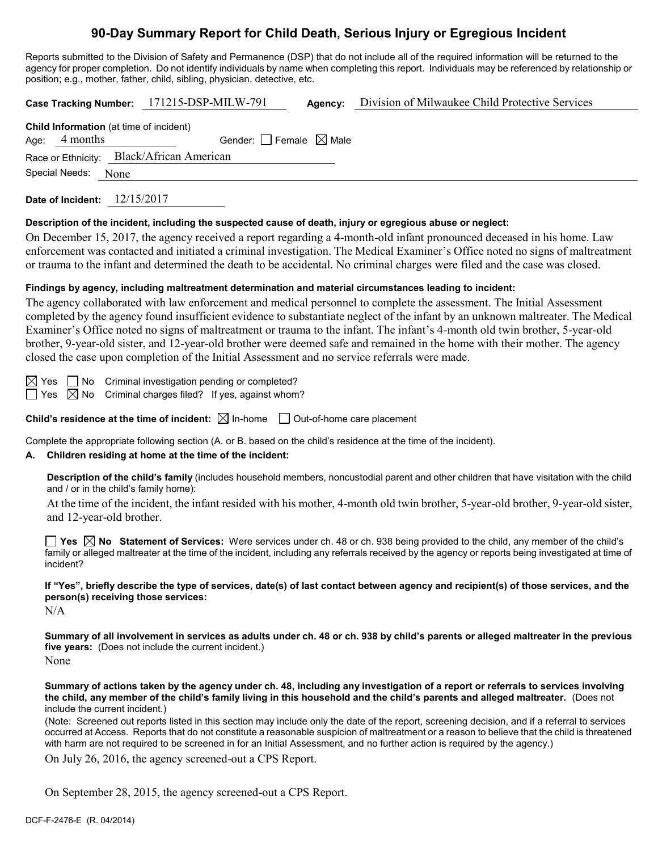# **90-Day Summary Report for Child Death, Serious Injury or Egregious Incident**

Reports submitted to the Division of Safety and Permanence (DSP) that do not include all of the required information will be returned to the agency for proper completion. Do not identify individuals by name when completing this report. Individuals may be referenced by relationship or position; e.g., mother, father, child, sibling, physician, detective, etc.

**Case Tracking Number:** 171215-DSP-MILW-791 **Agency:** Division of Milwaukee Child Protective Services **Child Information** (at time of incident) Age:  $4$  months Gender: Female  $\boxtimes$  Male Race or Ethnicity: Black/African American Special Needs: None **Date of Incident:** 12/15/2017

**Description of the incident, including the suspected cause of death, injury or egregious abuse or neglect:**

On December 15, 2017, the agency received a report regarding a 4-month-old infant pronounced deceased in his home. Law enforcement was contacted and initiated a criminal investigation. The Medical Examiner's Office noted no signs of maltreatment or trauma to the infant and determined the death to be accidental. No criminal charges were filed and the case was closed.

#### **Findings by agency, including maltreatment determination and material circumstances leading to incident:**

The agency collaborated with law enforcement and medical personnel to complete the assessment. The Initial Assessment completed by the agency found insufficient evidence to substantiate neglect of the infant by an unknown maltreater. The Medical Examiner's Office noted no signs of maltreatment or trauma to the infant. The infant's 4-month old twin brother, 5-year-old brother, 9-year-old sister, and 12-year-old brother were deemed safe and remained in the home with their mother. The agency closed the case upon completion of the Initial Assessment and no service referrals were made.

 $\boxtimes$  Yes  $\Box$  No Criminal investigation pending or completed?  $\Box$  Yes  $\boxtimes$  No Criminal charges filed? If yes, against whom?

**Child's residence at the time of incident:**  $\boxtimes$  In-home  $\Box$  Out-of-home care placement

Complete the appropriate following section (A. or B. based on the child's residence at the time of the incident).

#### **A. Children residing at home at the time of the incident:**

**Description of the child's family** (includes household members, noncustodial parent and other children that have visitation with the child and / or in the child's family home):

At the time of the incident, the infant resided with his mother, 4-month old twin brother, 5-year-old brother, 9-year-old sister, and 12-year-old brother.

**Yes No Statement of Services:** Were services under ch. 48 or ch. 938 being provided to the child, any member of the child's family or alleged maltreater at the time of the incident, including any referrals received by the agency or reports being investigated at time of incident?

**If "Yes", briefly describe the type of services, date(s) of last contact between agency and recipient(s) of those services, and the person(s) receiving those services:**

N/A

**Summary of all involvement in services as adults under ch. 48 or ch. 938 by child's parents or alleged maltreater in the previous five years:** (Does not include the current incident.)

None

**Summary of actions taken by the agency under ch. 48, including any investigation of a report or referrals to services involving the child, any member of the child's family living in this household and the child's parents and alleged maltreater.** (Does not include the current incident.)

(Note: Screened out reports listed in this section may include only the date of the report, screening decision, and if a referral to services occurred at Access. Reports that do not constitute a reasonable suspicion of maltreatment or a reason to believe that the child is threatened with harm are not required to be screened in for an Initial Assessment, and no further action is required by the agency.)

On July 26, 2016, the agency screened-out a CPS Report.

On September 28, 2015, the agency screened-out a CPS Report.